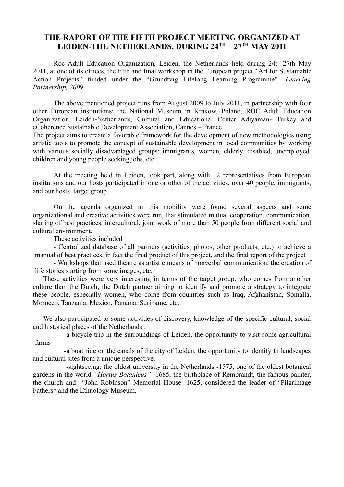## **THE RAPORT OF THE FIFTH PROJECT MEETING ORGANIZED AT LEIDEN-THE NETHERLANDS, DURING 24TH – 27TH MAY 2011**

Roc Adult Education Organization, Leiden, the Netherlands held during 24t -27th May 2011, at one of its offices, the fifth and final workshop in the European project "Art for Sustainable Action Projects" funded under the "Grundtvig Lifelong Learning Programme"- *Learning Partnership, 2009.*

The above mentioned project runs from August 2009 to July 2011, in partnership with four other European institutions: the National Museum in Krakow, Poland, ROC Adult Education Organization, Leiden-Netherlands, Cultural and Educational Center Adiyaman- Turkey and eCoherence Sustainable Development Association, Cannes – France

The project aims to create a favorable framework for the development of new methodologies using artistic tools to promote the concept of sustainable development in local communities by working with various socially disadvantaged groups: immigrants, women, elderly, disabled, unemployed, children and young people seeking jobs, etc.

At the meeting held in Leiden, took part, along with 12 representatives from European institutions and our hosts participated in one or other of the activities, over 40 people, immigrants, and our hosts' target group.

On the agenda organized in this mobility were found several aspects and some organizational and creative activities were run, that stimulated mutual cooperation, communication, sharing of best practices, intercultural, joint work of more than 50 people from different social and cultural environment.

These activities included

- Centralized database of all partners (activities, photos, other products, etc.) to achieve a manual of best practices, in fact the final product of this project, and the final report of the project

- Workshops that used theatre as artistic means of nonverbal communication, the creation of life stories starting from some images, etc.

These activities were very interesting in terms of the target group, who comes from another culture than the Dutch, the Dutch partner aiming to identify and promote a strategy to integrate these people, especially women, who come from countries such as Iraq, Afghanistan, Somalia, Morocco, Tanzania, Mexico, Panama, Suriname, etc.

We also participated to some activities of discovery, knowledge of the specific cultural, social and historical places of the Netherlands :

-a bicycle trip in the surroundings of Leiden, the opportunity to visit some agricultural farms

-a boat ride on the canals of the city of Leiden, the opportunity to identify th landscapes and cultural sites from a unique perspective.

 -sightseeing: the oldest university in the Netherlands -1575, one of the oldest botanical gardens in the world *"Hortus Botanicus"* -1685, the birthplace of Rembrandt, the famous painter, the church and "John Robinson" Memorial House -1625, considered the leader of "Pilgrimage Fathers" and the Ethnology Museum.